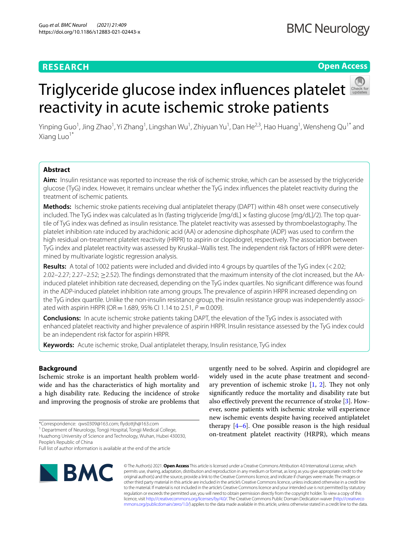### **RESEARCH**

**BMC Neurology** 

#### **Open Access**

# Triglycerideglucose index influences platelet reactivity in acute ischemic stroke patients

Yinping Guo<sup>1</sup>, Jing Zhao<sup>1</sup>, Yi Zhang<sup>1</sup>, Lingshan Wu<sup>1</sup>, Zhiyuan Yu<sup>1</sup>, Dan He<sup>2,3</sup>, Hao Huang<sup>1</sup>, Wensheng Qu<sup>1\*</sup> and Xiang Luo<sup>1</sup>

#### **Abstract**

**Aim:** Insulin resistance was reported to increase the risk of ischemic stroke, which can be assessed by the triglyceride glucose (TyG) index. However, it remains unclear whether the TyG index infuences the platelet reactivity during the treatment of ischemic patients.

**Methods:** Ischemic stroke patients receiving dual antiplatelet therapy (DAPT) within 48h onset were consecutively included. The TyG index was calculated as ln (fasting triglyceride [mg/dL] x fasting glucose [mg/dL]/2). The top guartile of TyG index was defned as insulin resistance. The platelet reactivity was assessed by thromboelastography. The platelet inhibition rate induced by arachidonic acid (AA) or adenosine diphosphate (ADP) was used to confrm the high residual on-treatment platelet reactivity (HRPR) to aspirin or clopidogrel, respectively. The association between TyG index and platelet reactivity was assessed by Kruskal–Wallis test. The independent risk factors of HRPR were determined by multivariate logistic regression analysis.

**Results:** A total of 1002 patients were included and divided into 4 groups by quartiles of the TyG index (<2.02; 2.02–2.27; 2.27–2.52; ≥2.52). The fndings demonstrated that the maximum intensity of the clot increased, but the AAinduced platelet inhibition rate decreased, depending on the TyG index quartiles. No signifcant diference was found in the ADP-induced platelet inhibition rate among groups. The prevalence of aspirin HRPR increased depending on the TyG index quartile. Unlike the non-insulin resistance group, the insulin resistance group was independently associated with aspirin HRPR (OR = 1.689, 95% CI 1.14 to 2.51,  $P = 0.009$ ).

**Conclusions:** In acute ischemic stroke patients taking DAPT, the elevation of the TyG index is associated with enhanced platelet reactivity and higher prevalence of aspirin HRPR. Insulin resistance assessed by the TyG index could be an independent risk factor for aspirin HRPR.

**Keywords:** Acute ischemic stroke, Dual antiplatelet therapy, Insulin resistance, TyG index

#### **Background**

Ischemic stroke is an important health problem worldwide and has the characteristics of high mortality and a high disability rate. Reducing the incidence of stroke and improving the prognosis of stroke are problems that

<sup>1</sup> Department of Neurology, Tongji Hospital, Tongji Medical College, Huazhong University of Science and Technology, Wuhan, Hubei 430030,

People's Republic of China

Full list of author information is available at the end of the article



urgently need to be solved. Aspirin and clopidogrel are widely used in the acute phase treatment and secondary prevention of ischemic stroke  $[1, 2]$  $[1, 2]$  $[1, 2]$ . They not only signifcantly reduce the mortality and disability rate but also efectively prevent the recurrence of stroke [[3\]](#page-6-2). However, some patients with ischemic stroke will experience new ischemic events despite having received antiplatelet therapy [[4–](#page-6-3)[6](#page-6-4)]. One possible reason is the high residual on-treatment platelet reactivity (HRPR), which means

© The Author(s) 2021. **Open Access** This article is licensed under a Creative Commons Attribution 4.0 International License, which permits use, sharing, adaptation, distribution and reproduction in any medium or format, as long as you give appropriate credit to the original author(s) and the source, provide a link to the Creative Commons licence, and indicate if changes were made. The images or other third party material in this article are included in the article's Creative Commons licence, unless indicated otherwise in a credit line to the material. If material is not included in the article's Creative Commons licence and your intended use is not permitted by statutory regulation or exceeds the permitted use, you will need to obtain permission directly from the copyright holder. To view a copy of this licence, visit [http://creativecommons.org/licenses/by/4.0/.](http://creativecommons.org/licenses/by/4.0/) The Creative Commons Public Domain Dedication waiver ([http://creativeco](http://creativecommons.org/publicdomain/zero/1.0/) [mmons.org/publicdomain/zero/1.0/](http://creativecommons.org/publicdomain/zero/1.0/)) applies to the data made available in this article, unless otherwise stated in a credit line to the data.

<sup>\*</sup>Correspondence: qws0309@163.com; fydottjh@163.com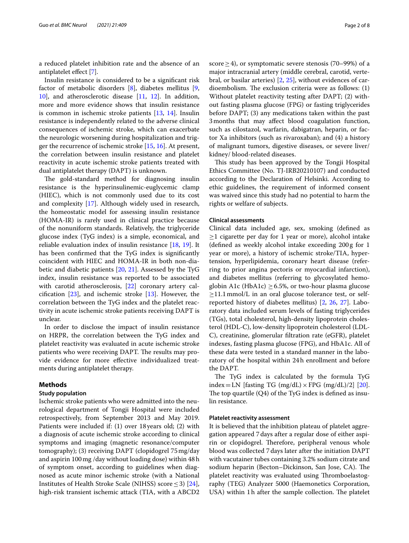a reduced platelet inhibition rate and the absence of an antiplatelet efect [[7\]](#page-6-5).

Insulin resistance is considered to be a signifcant risk factor of metabolic disorders [\[8](#page-6-6)], diabetes mellitus [\[9](#page-6-7), [10\]](#page-6-8), and atherosclerotic disease [[11,](#page-6-9) [12](#page-6-10)]. In addition, more and more evidence shows that insulin resistance is common in ischemic stroke patients [\[13](#page-6-11), [14\]](#page-6-12). Insulin resistance is independently related to the adverse clinical consequences of ischemic stroke, which can exacerbate the neurologic worsening during hospitalization and trigger the recurrence of ischemic stroke [\[15](#page-6-13), [16\]](#page-6-14). At present, the correlation between insulin resistance and platelet reactivity in acute ischemic stroke patients treated with dual antiplatelet therapy (DAPT) is unknown.

The gold-standard method for diagnosing insulin resistance is the hyperinsulinemic-euglycemic clamp (HIEC), which is not commonly used due to its cost and complexity [[17](#page-6-15)]. Although widely used in research, the homeostatic model for assessing insulin resistance (HOMA-IR) is rarely used in clinical practice because of the nonuniform standards. Relatively, the triglyceride glucose index (TyG index) is a simple, economical, and reliable evaluation index of insulin resistance [\[18](#page-6-16), [19\]](#page-6-17). It has been confrmed that the TyG index is signifcantly coincident with HIEC and HOMA-IR in both non-diabetic and diabetic patients [[20,](#page-6-18) [21\]](#page-6-19). Assessed by the TyG index, insulin resistance was reported to be associated with carotid atherosclerosis, [[22\]](#page-6-20) coronary artery calcification  $[23]$  $[23]$ , and ischemic stroke  $[13]$  $[13]$ . However, the correlation between the TyG index and the platelet reactivity in acute ischemic stroke patients receiving DAPT is unclear.

In order to disclose the impact of insulin resistance on HRPR, the correlation between the TyG index and platelet reactivity was evaluated in acute ischemic stroke patients who were receiving DAPT. The results may provide evidence for more efective individualized treatments during antiplatelet therapy.

#### **Methods**

#### **Study population**

Ischemic stroke patients who were admitted into the neurological department of Tongji Hospital were included retrospectively, from September 2013 and May 2019. Patients were included if: (1) over 18 years old; (2) with a diagnosis of acute ischemic stroke according to clinical symptoms and imaging (magnetic resonance/computer tomography); (3) receiving DAPT (clopidogrel 75mg/day and aspirin 100mg /day without loading dose) within 48h of symptom onset, according to guidelines when diagnosed as acute minor ischemic stroke (with a National Institutes of Health Stroke Scale (NIHSS) score  $\leq$  3) [\[24](#page-6-22)], high-risk transient ischemic attack (TIA, with a ABCD2 score  $\geq$  4), or symptomatic severe stenosis (70–99%) of a major intracranial artery (middle cerebral, carotid, vertebral, or basilar arteries) [[2,](#page-6-1) [25](#page-6-23)], without evidences of cardioembolism. The exclusion criteria were as follows:  $(1)$ Without platelet reactivity testing after DAPT; (2) without fasting plasma glucose (FPG) or fasting triglycerides before DAPT; (3) any medications taken within the past 3months that may afect blood coagulation function, such as cilostazol, warfarin, dabigatran, heparin, or factor Xa inhibitors (such as rivaroxaban); and (4) a history of malignant tumors, digestive diseases, or severe liver/ kidney/ blood-related diseases.

This study has been approved by the Tongji Hospital Ethics Committee (No. TJ-IRB20210107) and conducted according to the Declaration of Helsinki. According to ethic guidelines, the requirement of informed consent was waived since this study had no potential to harm the rights or welfare of subjects.

#### **Clinical assessments**

Clinical data included age, sex, smoking (defned as ≥1 cigarette per day for 1 year or more), alcohol intake (defned as weekly alcohol intake exceeding 200g for 1 year or more), a history of ischemic stroke/TIA, hypertension, hyperlipidemia, coronary heart disease (referring to prior angina pectoris or myocardial infarction), and diabetes mellitus (referring to glycosylated hemoglobin A1c (HbA1c)  $\geq$  6.5%, or two-hour plasma glucose  $\geq$ 11.1 mmol/L in an oral glucose tolerance test, or selfreported history of diabetes mellitus) [[2,](#page-6-1) [26](#page-6-24), [27](#page-6-25)]. Laboratory data included serum levels of fasting triglycerides (TGs), total cholesterol, high-density lipoprotein cholesterol (HDL-C), low-density lipoprotein cholesterol (LDL-C), creatinine, glomerular fltration rate (eGFR), platelet indexes, fasting plasma glucose (FPG), and HbA1c. All of these data were tested in a standard manner in the laboratory of the hospital within 24h enrollment and before the DAPT.

The TyG index is calculated by the formula TyG index = LN [fasting TG (mg/dL)  $\times$  FPG (mg/dL)/2] [\[20](#page-6-18)]. The top quartile  $(Q4)$  of the TyG index is defined as insulin resistance.

#### **Platelet reactivity assessment**

It is believed that the inhibition plateau of platelet aggregation appeared 7days after a regular dose of either aspirin or clopidogrel. Therefore, peripheral venous whole blood was collected 7days later after the initiation DAPT with vacutainer tubes containing 3.2% sodium citrate and sodium heparin (Becton-Dickinson, San Jose, CA). The platelet reactivity was evaluated using Thromboelastography (TEG) Analyzer 5000 (Haemonetics Corporation, USA) within 1h after the sample collection. The platelet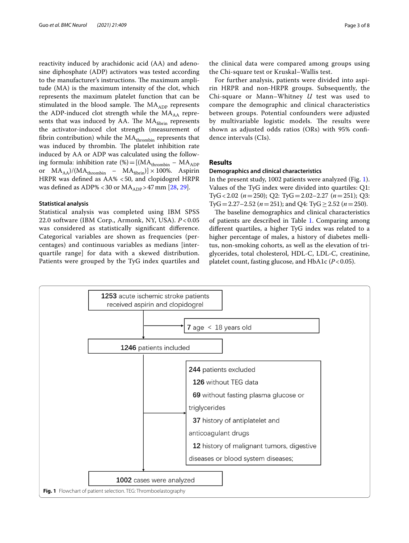reactivity induced by arachidonic acid (AA) and adenosine diphosphate (ADP) activators was tested according to the manufacturer's instructions. The maximum amplitude (MA) is the maximum intensity of the clot, which represents the maximum platelet function that can be stimulated in the blood sample. The  $MA<sub>ADP</sub>$  represents the ADP-induced clot strength while the  $MA_{AA}$  represents that was induced by AA. The  $MA<sub>fiberin</sub>$  represents the activator-induced clot strength (measurement of fibrin contribution) while the  $MA$ <sub>thrombin</sub> represents that was induced by thrombin. The platelet inhibition rate induced by AA or ADP was calculated using the following formula: inhibition rate (%) = [( $MA$ <sub>thrombin</sub> –  $MA$ <sub>ADP</sub> or  $MA_{AA}$ )/( $MA_{thrombin}$  –  $MA_{fibrin}$ )] × 100%. Aspirin HRPR was defned as AA% <50, and clopidogrel HRPR was defined as ADP% <30 or  $MA<sub>ADP</sub> > 47$  mm [[28,](#page-6-26) [29\]](#page-6-27).

#### **Statistical analysis**

Statistical analysis was completed using IBM SPSS 22.0 software (IBM Corp., Armonk, NY, USA). *P* < 0.05 was considered as statistically signifcant diference. Categorical variables are shown as frequencies (percentages) and continuous variables as medians [interquartile range] for data with a skewed distribution. Patients were grouped by the TyG index quartiles and

the clinical data were compared among groups using the Chi-square test or Kruskal–Wallis test.

For further analysis, patients were divided into aspirin HRPR and non-HRPR groups. Subsequently, the Chi-square or Mann–Whitney *U* test was used to compare the demographic and clinical characteristics between groups. Potential confounders were adjusted by multivariable logistic models. The results were shown as adjusted odds ratios (ORs) with 95% confdence intervals (CIs).

#### **Results**

#### **Demographics and clinical characteristics**

In the present study, 1002 patients were analyzed (Fig. [1](#page-2-0)). Values of the TyG index were divided into quartiles: Q1: TyG<2.02 (*n*=250); Q2: TyG=2.02–2.27 (*n*=251); Q3: TyG = 2.27–2.52 ( $n = 251$ ); and Q4: TyG  $\geq$  2.52 ( $n = 250$ ).

The baseline demographics and clinical characteristics of patients are described in Table [1.](#page-3-0) Comparing among diferent quartiles, a higher TyG index was related to a higher percentage of males, a history of diabetes mellitus, non-smoking cohorts, as well as the elevation of triglycerides, total cholesterol, HDL-C, LDL-C, creatinine, platelet count, fasting glucose, and HbA1c (*P*<0.05).

<span id="page-2-0"></span>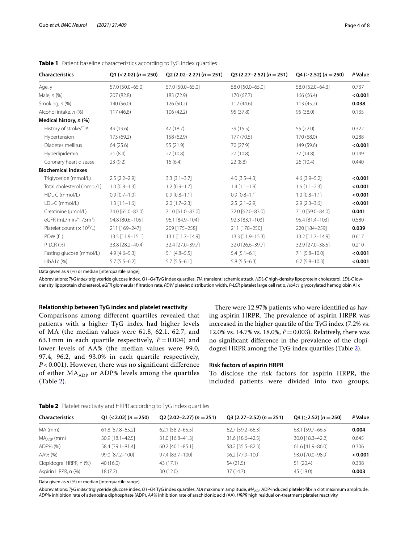| <b>Characteristics</b>            | Q1 (<2.02) ( $n = 250$ ) | Q2 (2.02–2.27) ( $n = 251$ ) | Q3 (2.27–2.52) ( $n = 251$ ) | $Q4$ ( $\geq$ 2.52) (n = 250) | <b>P</b> Value |
|-----------------------------------|--------------------------|------------------------------|------------------------------|-------------------------------|----------------|
| Age, y                            | 57.0 [50.0-65.0]         | 57.0 [50.0-65.0]             | 58.0 [50.0-65.0]             | 58.0 [52.0-64.3]              | 0.737          |
| Male, n (%)                       | 207 (82.8)               | 183 (72.9)                   | 170(67.7)                    | 166 (66.4)                    | < 0.001        |
| Smoking, n (%)                    | 140 (56.0)               | 126 (50.2)                   | 112 (44.6)                   | 113 (45.2)                    | 0.038          |
| Alcohol intake, n (%)             | 117(46.8)                | 106(42.2)                    | 95 (37.8)                    | 95 (38.0)                     | 0.135          |
| Medical history, n (%)            |                          |                              |                              |                               |                |
| History of stroke/TIA             | 49 (19.6)                | 47 (18.7)                    | 39 (15.5)                    | 55 (22.0)                     | 0.322          |
| Hypertension                      | 173 (69.2)               | 158 (62.9)                   | 177 (70.5)                   | 170 (68.0)                    | 0.288          |
| Diabetes mellitus                 | 64(25.6)                 | 55 (21.9)                    | 70 (27.9)                    | 149 (59.6)                    | < 0.001        |
| Hyperlipidemia                    | 21(8.4)                  | 27(10.8)                     | 27(10.8)                     | 37 (14.8)                     | 0.149          |
| Coronary heart disease            | 23(9.2)                  | 16(6.4)                      | 22(8.8)                      | 26(10.4)                      | 0.440          |
| <b>Biochemical indexes</b>        |                          |                              |                              |                               |                |
| Triglyceride (mmol/L)             | $2.5$ [ $2.2 - 2.9$ ]    | $3.3$ [ $3.1 - 3.7$ ]        | $4.0$ [3.5-4.3]              | $4.6$ [3.9-5.2]               | < 0.001        |
| Total cholesterol (mmol/L)        | $1.0$ $[0.8 - 1.3]$      | $1.2$ [0.9-1.7]              | $1.4$ [1.1-1.9]              | $1.6$ [1.1-2.3]               | < 0.001        |
| HDL-C (mmol/L)                    | $0.9$ [0.7-1.0]          | $0.9$ $[0.8 - 1.1]$          | $0.9$ [0.8-1.1]              | $1.0$ $[0.8 - 1.1]$           | < 0.001        |
| LDL-C (mmol/L)                    | $1.3$ [1.1-1.6]          | $2.0$ [1.7-2.3]              | $2.5$ $[2.1 - 2.9]$          | $2.9$ $[2.3 - 3.6]$           | < 0.001        |
| Creatinine (µmol/L)               | 74.0 [65.0-87.0]         | 71.0 [61.0-83.0]             | 72.0 [62.0-83.0]             | 71.0 [59.0-84.0]              | 0.041          |
| eGFR (mL/min/1.73m <sup>2</sup> ) | 94.8 [80.6-105]          | 96.1 [84.9-104]              | 92.3 [83.1-103]              | 95.4 [81.4-103]               | 0.580          |
| Platelet count $(x 10^9/L)$       | 211 [169-247]            | 209 [175-258]                | 211 [178-250]                | 220 [184-259]                 | 0.039          |
| PDW (fL)                          | 13.5 [11.9-15.1]         | 13.1 [11.7-14.9]             | 13.3 [11.9-15.3]             | 13.2 [11.7-14.9]              | 0.617          |
| <b>P-LCR (%)</b>                  | 33.8 [28.2-40.4]         | 32.4 [27.0-39.7]             | 32.0 [26.6-39.7]             | 32.9 [27.0-38.5]              | 0.210          |
| Fasting glucose (mmol/L)          | $4.9$ [ $4.6 - 5.3$ ]    | $5.1$ [4.8-5.5]              | $5.4$ [5.1-6.1]              | $7.1$ [5.8-10.0]              | < 0.001        |
| HbA1c (%)                         | $5.7$ [5.5-6.2]          | $5.7$ [5.5-6.1]              | $5.8$ [5.5-6.3]              | $6.7$ [5.8-10.3]              | < 0.001        |

<span id="page-3-0"></span>**Table 1** Patient baseline characteristics according to TyG index quartiles

Data given as *n* (%) or median [interquartile range]

Abbreviations: *TyG index* triglyceride glucose index, *Q1–Q4* TyG index quartiles, *TIA* transient ischemic attack, *HDL-C* high-density lipoprotein cholesterol, *LDL-C* lowdensity lipoprotein cholesterol, *eGFR* glomerular fltration rate, *PDW* platelet distribution width, *P-LCR* platelet large cell ratio, *HbAc1* glycosylated hemoglobin A1c

#### **Relationship between TyG index and platelet reactivity**

Comparisons among different quartiles revealed that patients with a higher TyG index had higher levels of MA (the median values were 61.8, 62.1, 62.7, and 63.1 mm in each quartile respectively,  $P = 0.004$ ) and lower levels of AA% (the median values were 99.0, 97.4, 96.2, and 93.0% in each quartile respectively, *P* < 0.001). However, there was no significant difference of either  $MA<sub>ADP</sub>$  or ADP% levels among the quartiles (Table [2](#page-3-1)).

There were 12.97% patients who were identified as having aspirin HRPR. The prevalence of aspirin HRPR was increased in the higher quartile of the TyG index (7.2% vs. 12.0% vs. 14.7% vs. 18.0%, *P*=0.003). Relatively, there was no signifcant diference in the prevalence of the clopidogrel HRPR among the TyG index quartiles (Table [2](#page-3-1)).

#### **Risk factors of aspirin HRPR**

To disclose the risk factors for aspirin HRPR, the included patients were divided into two groups,

<span id="page-3-1"></span>

| <b>Characteristics</b>  | $Q1$ (< 2.02) (n = 250) | Q2 (2.02–2.27) ( $n = 251$ ) | Q3 (2.27–2.52) ( $n = 251$ ) | $Q4 (>2.52) (n = 250)$ | <b>P</b> Value |
|-------------------------|-------------------------|------------------------------|------------------------------|------------------------|----------------|
| MA (mm)                 | 61.8 [57.8-65.2]        | $62.1$ [58.2-65.5]           | 62.7 [59.2-66.3]             | 63.1 [59.7-66.5]       | 0.004          |
| $MAADP$ (mm)            | $30.9$ [18.1-42.5]      | 31.0 [16.8-41.3]             | 31.6 [18.6-42.5]             | 30.0 [18.3-42.2]       | 0.645          |
| ADP% (%)                | 58.4 [39.1-81.4]        | $60.2$ [40.1-85.1]           | 58.2 [35.5-82.3]             | $61.6$ [41.9-86.0]     | 0.306          |
| AA% (%)                 | 99.0 [87.2-100]         | 97.4 [83.7-100]              | 96.2 [77.9-100]              | 93.0 [70.0-98.9]       | < 0.001        |
| Clopidogrel HRPR, n (%) | 40(16.0)                | 43 (17.1)                    | 54(21.5)                     | 51(20.4)               | 0.338          |
| Aspirin HRPR, n (%)     | 18 (7.2)                | 30(12.0)                     | 37 (14.7)                    | 45 (18.0)              | 0.003          |

Data given as *n* (%) or median [interquartile range]

Abbreviations: *TyG index* triglyceride glucose index, Q1-Q4 TyG index quartiles, *MA* maximum amplitude, *MA<sub>ADP</sub>* ADP-induced platelet-fibrin clot maximum amplitude, *ADP%* inhibition rate of adenosine diphosphate (ADP), *AA%* inhibition rate of arachidonic acid (AA), *HRPR* high residual on-treatment platelet reactivity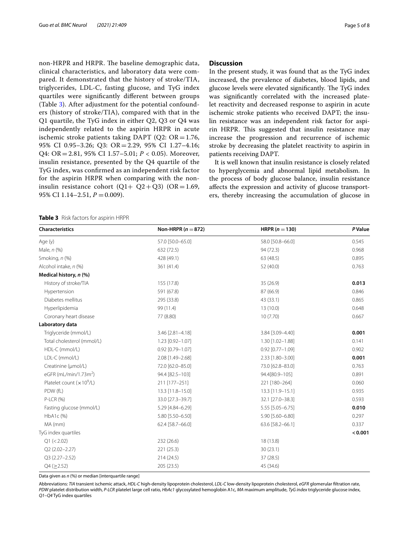non-HRPR and HRPR. The baseline demographic data, clinical characteristics, and laboratory data were compared. It demonstrated that the history of stroke/TIA, triglycerides, LDL-C, fasting glucose, and TyG index quartiles were signifcantly diferent between groups (Table [3](#page-4-0)). After adjustment for the potential confounders (history of stroke/TIA), compared with that in the Q1 quartile, the TyG index in either Q2, Q3 or Q4 was independently related to the aspirin HRPR in acute ischemic stroke patients taking DAPT ( $Q2$ :  $OR = 1.76$ , 95% CI 0.95–3.26; Q3: OR =2.29, 95% CI 1.27–4.16; Q4: OR=2.81, 95% CI 1.57–5.01; *P* < 0.05). Moreover, insulin resistance, presented by the Q4 quartile of the TyG index, was confrmed as an independent risk factor for the aspirin HRPR when comparing with the noninsulin resistance cohort  $(Q1+ Q2+Q3)$   $(OR=1.69,$ 95% CI 1.14–2.51,  $P = 0.009$ ).

<span id="page-4-0"></span>**Table 3** Risk factors for aspirin HRPR

#### **Discussion**

In the present study, it was found that as the TyG index increased, the prevalence of diabetes, blood lipids, and glucose levels were elevated significantly. The TyG index was signifcantly correlated with the increased platelet reactivity and decreased response to aspirin in acute ischemic stroke patients who received DAPT; the insulin resistance was an independent risk factor for aspirin HRPR. This suggested that insulin resistance may increase the progression and recurrence of ischemic stroke by decreasing the platelet reactivity to aspirin in patients receiving DAPT.

It is well known that insulin resistance is closely related to hyperglycemia and abnormal lipid metabolism. In the process of body glucose balance, insulin resistance afects the expression and activity of glucose transporters, thereby increasing the accumulation of glucose in

| <b>Characteristics</b>            | Non-HRPR ( $n = 872$ ) | <b>HRPR</b> ( $n = 130$ ) | <b>P</b> Value |
|-----------------------------------|------------------------|---------------------------|----------------|
| Age (y)                           | 57.0 [50.0-65.0]       | 58.0 [50.8-66.0]          | 0.545          |
| Male, n (%)                       | 632 (72.5)             | 94 (72.3)                 | 0.968          |
| Smoking, n (%)                    | 428 (49.1)             | 63 (48.5)                 | 0.895          |
| Alcohol intake, n (%)             | 361 (41.4)             | 52 (40.0)                 | 0.763          |
| Medical history, n (%)            |                        |                           |                |
| History of stroke/TIA             | 155 (17.8)             | 35 (26.9)                 | 0.013          |
| Hypertension                      | 591 (67.8)             | 87 (66.9)                 | 0.846          |
| Diabetes mellitus                 | 295 (33.8)             | 43 (33.1)                 | 0.865          |
| Hyperlipidemia                    | 99 (11.4)              | 13(10.0)                  | 0.648          |
| Coronary heart disease            | 77 (8.80)              | 10(7.70)                  | 0.667          |
| Laboratory data                   |                        |                           |                |
| Triglyceride (mmol/L)             | 3.46 [2.81-4.18]       | 3.84 [3.09-4.40]          | 0.001          |
| Total cholesterol (mmol/L)        | 1.23 [0.92-1.07]       | 1.30 [1.02-1.88]          | 0.141          |
| HDL-C (mmol/L)                    | $0.92$ [0.79-1.07]     | $0.92$ [0.77-1.09]        | 0.902          |
| LDL-C (mmol/L)                    | 2.08 [1.49-2.68]       | 2.33 [1.80-3.00]          | 0.001          |
| Creatinine (µmol/L)               | 72.0 [62.0-85.0]       | 73.0 [62.8-83.0]          | 0.763          |
| eGFR (mL/min/1.73m <sup>2</sup> ) | 94.4 [82.5-103]        | 94.4[80.9-105]            | 0.891          |
| Platelet count $(x 10^9/L)$       | 211 [177-251]          | 221 [180-264]             | 0.060          |
| PDW (fL)                          | 13.3 [11.8-15.0]       | 13.3 [11.9-15.1]          | 0.935          |
| P-LCR (%)                         | 33.0 [27.3-39.7]       | 32.1 [27.0-38.3]          | 0.593          |
| Fasting glucose (mmol/L)          | 5.29 [4.84-6.29]       | 5.55 [5.05-6.75]          | 0.010          |
| HbA1c (%)                         | 5.80 [5.50-6.50]       | 5.90 [5.60-6.80]          | 0.297          |
| MA (mm)                           | 62.4 [58.7-66.0]       | 63.6 [58.2-66.1]          | 0.337          |
| TyG index quartiles               |                        |                           | < 0.001        |
| Q1 (< 2.02)                       | 232 (26.6)             | 18 (13.8)                 |                |
| $Q2(2.02 - 2.27)$                 | 221 (25.3)             | 30(23.1)                  |                |
| $Q3(2.27 - 2.52)$                 | 214 (24.5)             | 37 (28.5)                 |                |
| $Q4$ ( $\geq$ 2.52)               | 205 (23.5)             | 45 (34.6)                 |                |

Data given as *n* (%) or median [interquartile range]

Abbreviations: *TIA* transient ischemic attack, *HDL-C* high-density lipoprotein cholesterol, *LDL-C* low-density lipoprotein cholesterol, *eGFR* glomerular fltration rate, *PDW* platelet distribution width, *P-LCR* platelet large cell ratio, *HbAc1* glycosylated hemoglobin A1c, *MA* maximum amplitude, *TyG index* triglyceride glucose index, *Q1–Q4* TyG index quartiles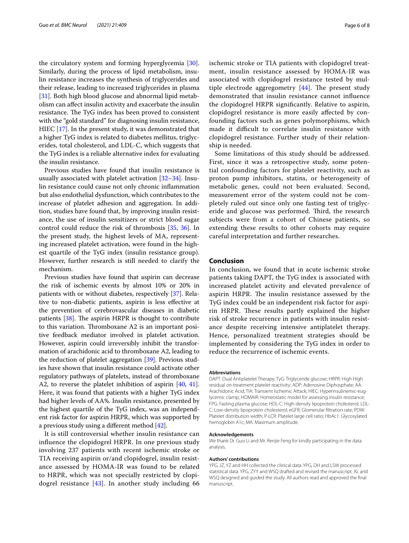the circulatory system and forming hyperglycemia [\[30](#page-6-28)]. Similarly, during the process of lipid metabolism, insulin resistance increases the synthesis of triglycerides and their release, leading to increased triglycerides in plasma [[31\]](#page-6-29). Both high blood glucose and abnormal lipid metabolism can afect insulin activity and exacerbate the insulin resistance. The TyG index has been proved to consistent with the "gold standard" for diagnosing insulin resistance, HIEC [[17](#page-6-15)]. In the present study, it was demonstrated that a higher TyG index is related to diabetes mellitus, triglycerides, total cholesterol, and LDL-C, which suggests that the TyG index is a reliable alternative index for evaluating the insulin resistance.

Previous studies have found that insulin resistance is usually associated with platelet activation [[32–](#page-6-30)[34\]](#page-7-0). Insulin resistance could cause not only chronic infammation but also endothelial dysfunction, which contributes to the increase of platelet adhesion and aggregation. In addition, studies have found that, by improving insulin resistance, the use of insulin sensitizers or strict blood sugar control could reduce the risk of thrombosis [\[35](#page-7-1), [36\]](#page-7-2). In the present study, the highest levels of MA, representing increased platelet activation, were found in the highest quartile of the TyG index (insulin resistance group). However, further research is still needed to clarify the mechanism.

Previous studies have found that aspirin can decrease the risk of ischemic events by almost 10% or 20% in patients with or without diabetes, respectively [[37](#page-7-3)]. Relative to non-diabetic patients, aspirin is less efective at the prevention of cerebrovascular diseases in diabetic patients  $[38]$  $[38]$ . The aspirin HRPR is thought to contribute to this variation. Thromboxane A2 is an important positive feedback mediator involved in platelet activation. However, aspirin could irreversibly inhibit the transformation of arachidonic acid to thromboxane A2, leading to the reduction of platelet aggregation [\[39\]](#page-7-5). Previous studies have shown that insulin resistance could activate other regulatory pathways of platelets, instead of thromboxane A2, to reverse the platelet inhibition of aspirin [[40](#page-7-6), [41](#page-7-7)]. Here, it was found that patients with a higher TyG index had higher levels of AA%. Insulin resistance, presented by the highest quartile of the TyG index, was an independent risk factor for aspirin HRPR, which was supported by a previous study using a diferent method [[42\]](#page-7-8).

It is still controversial whether insulin resistance can infuence the clopidogrel HRPR. In one previous study involving 237 patients with recent ischemic stroke or TIA receiving aspirin or/and clopidogrel, insulin resistance assessed by HOMA-IR was found to be related to HRPR, which was not specially restricted by clopidogrel resistance  $[43]$  $[43]$ . In another study including 66 ischemic stroke or TIA patients with clopidogrel treatment, insulin resistance assessed by HOMA-IR was associated with clopidogrel resistance tested by multiple electrode aggregometry  $[44]$  $[44]$ . The present study demonstrated that insulin resistance cannot infuence the clopidogrel HRPR signifcantly. Relative to aspirin, clopidogrel resistance is more easily afected by confounding factors such as genes polymorphisms, which made it difficult to correlate insulin resistance with clopidogrel resistance. Further study of their relationship is needed.

Some limitations of this study should be addressed. First, since it was a retrospective study, some potential confounding factors for platelet reactivity, such as proton pump inhibitors, statins, or heterogeneity of metabolic genes, could not been evaluated. Second, measurement error of the system could not be completely ruled out since only one fasting test of triglyceride and glucose was performed. Third, the research subjects were from a cohort of Chinese patients, so extending these results to other cohorts may require careful interpretation and further researches.

#### **Conclusion**

In conclusion, we found that in acute ischemic stroke patients taking DAPT, the TyG index is associated with increased platelet activity and elevated prevalence of aspirin HRPR. The insulin resistance assessed by the TyG index could be an independent risk factor for aspirin HRPR. These results partly explained the higher risk of stroke recurrence in patients with insulin resistance despite receiving intensive antiplatelet therapy. Hence, personalized treatment strategies should be implemented by considering the TyG index in order to reduce the recurrence of ischemic events.

#### **Abbreviations**

DAPT: Dual Antiplatelet Therapy; TyG: Triglyceride glucose; HRPR: High High residual on-treatment platelet reactivity; ADP: Adenosine Diphosphate; AA: Arachidonic Acid; TIA: Transient Ischemic Attack; HIEC: Hyperinsulinemic-euglycemic clamp; HOMAIR: Homeostatic model for assessing insulin resistance; FPG: Fasting plasma glucose; HDL-C: High-density lipoprotein cholesterol; LDL-C: Low-density lipoprotein cholesterol; eGFR: Glomerular fltration rate; PDW: Platelet distribution width; P-LCR: Platelet large cell ratio; HbAc1: Glycosylated hemoglobin A1c; MA: Maximum amplitude.

#### **Acknowledgements**

We thank Dr. Guo Li and Mr. Renjie Feng for kindly participating in the data analysis.

#### **Authors' contributions**

YPG, JZ, YZ and HH collected the clinical data. YPG, DH and LSW processed statistical data. YPG, ZYY and WSQ drafted and revised the manuscript. XL and WSQ designed and guided the study. All authors read and approved the fnal manuscript.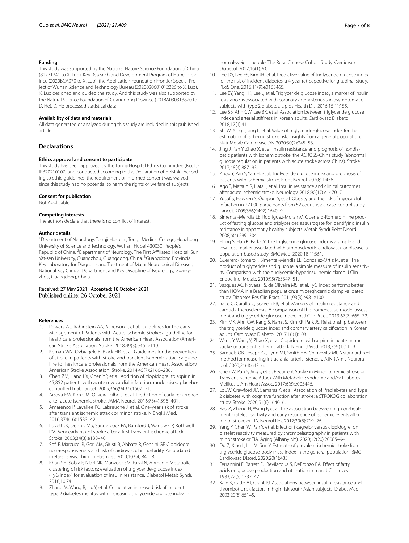#### **Funding**

This study was supported by the National Nature Science Foundation of China (81771341 to X. Luo), Key Research and Development Program of Hubei Province (2020BCA070 to X. Luo), the Application Foundation Frontier Special Project of Wuhan Science and Technology Bureau (2020020601012226 to X. Luo). X. Luo designed and guided the study. And this study was also supported by the Natural Science Foundation of Guangdong Province (2018A030313820 to D. He). D. He processed statistical data.

#### **Availability of data and materials**

All data generated or analyzed during this study are included in this published article.

#### **Declarations**

#### **Ethics approval and consent to participate**

This study has been approved by the Tongji Hospital Ethics Committee (No. TJ-IRB20210107) and conducted according to the Declaration of Helsinki. According to ethic guidelines, the requirement of informed consent was waived since this study had no potential to harm the rights or welfare of subjects.

#### **Consent for publication**

Not Applicable.

#### **Competing interests**

The authors declare that there is no confict of interest.

#### **Author details**

<sup>1</sup> Department of Neurology, Tongji Hospital, Tongji Medical College, Huazhong University of Science and Technology, Wuhan, Hubei 430030, People's Republic of China. <sup>2</sup> Department of Neurology, The First Affiliated Hospital, Sun Yat-sen University, Guangzhou, Guangdong, China. <sup>3</sup>Guangdong Provincial Key Laboratory for Diagnosis and Treatment of Major Neurological Diseases, National Key Clinical Department and Key Discipline of Neurology, Guangzhou, Guangdong, China.

## Received: 27 May 2021 Accepted: 18 October 2021

#### **References**

- <span id="page-6-0"></span>1. Powers WJ, Rabinstein AA, Ackerson T, et al. Guidelines for the early Management of Patients with Acute Ischemic Stroke: a guideline for healthcare professionals from the American Heart Association/American Stroke Association. Stroke. 2018;49(3):e46–e110.
- <span id="page-6-1"></span>2. Kernan WN, Ovbiagele B, Black HR, et al. Guidelines for the prevention of stroke in patients with stroke and transient ischemic attack: a guideline for healthcare professionals from the American Heart Association/ American Stroke Association. Stroke. 2014;45(7):2160–236.
- <span id="page-6-2"></span>3. Chen ZM, Jiang LX, Chen YP, et al. Addition of clopidogrel to aspirin in 45,852 patients with acute myocardial infarction: randomised placebocontrolled trial. Lancet. 2005;366(9497):1607–21.
- <span id="page-6-3"></span>4. Arsava EM, Kim GM, Oliveira-Filho J, et al. Prediction of early recurrence after acute ischemic stroke. JAMA Neurol. 2016;73(4):396–401.
- 5. Amarenco P, Lavallee PC, Labreuche J, et al. One-year risk of stroke after transient ischemic attack or minor stroke. N Engl J Med. 2016;374(16):1533–42.
- <span id="page-6-4"></span>6. Lovett JK, Dennis MS, Sandercock PA, Bamford J, Warlow CP, Rothwell PM. Very early risk of stroke after a frst transient ischemic attack. Stroke. 2003;34(8):e138–40.
- <span id="page-6-5"></span>7. Sof F, Marcucci R, Gori AM, Giusti B, Abbate R, Gensini GF. Clopidogrel non-responsiveness and risk of cardiovascular morbidity. An updated meta-analysis. Thromb Haemost. 2010;103(4):841–8.
- <span id="page-6-6"></span>8. Khan SH, Sobia F, Niazi NK, Manzoor SM, Fazal N, Ahmad F. Metabolic clustering of risk factors: evaluation of triglyceride-glucose index (TyG index) for evaluation of insulin resistance. Diabetol Metab Syndr. 2018;10:74.
- <span id="page-6-7"></span>9. Zhang M, Wang B, Liu Y, et al. Cumulative increased risk of incident type 2 diabetes mellitus with increasing triglyceride glucose index in

normal-weight people: The Rural Chinese Cohort Study. Cardiovasc Diabetol. 2017;16(1):30.

- <span id="page-6-8"></span>10. Lee DY, Lee ES, Kim JH, et al. Predictive value of triglyceride glucose index for the risk of incident diabetes: a 4-year retrospective longitudinal study. PLoS One. 2016;11(9):e0163465.
- <span id="page-6-9"></span>11. Lee EY, Yang HK, Lee J, et al. Triglyceride glucose index, a marker of insulin resistance, is associated with coronary artery stenosis in asymptomatic subjects with type 2 diabetes. Lipids Health Dis. 2016;15(1):155.
- <span id="page-6-10"></span>12. Lee SB, Ahn CW, Lee BK, et al. Association between triglyceride glucose index and arterial stifness in Korean adults. Cardiovasc Diabetol. 2018;17(1):41.
- <span id="page-6-11"></span>13. Shi W, Xing L, Jing L, et al. Value of triglyceride-glucose index for the estimation of ischemic stroke risk: insights from a general population. Nutr Metab Cardiovasc Dis. 2020;30(2):245–53.
- <span id="page-6-12"></span>14. Jing J, Pan Y, Zhao X, et al. Insulin resistance and prognosis of nondiabetic patients with ischemic stroke: the ACROSS-China study (abnormal glucose regulation in patients with acute stroke across China). Stroke. 2017;48(4):887–93.
- <span id="page-6-13"></span>15. Zhou Y, Pan Y, Yan H, et al. Triglyceride glucose index and prognosis of patients with ischemic stroke. Front Neurol. 2020;11:456.
- <span id="page-6-14"></span>16. Ago T, Matsuo R, Hata J, et al. Insulin resistance and clinical outcomes after acute ischemic stroke. Neurology. 2018;90(17):e1470–7.
- <span id="page-6-15"></span>17. Yusuf S, Hawken S, Ôunpuu S, et al. Obesity and the risk of myocardial infarction in 27 000 participants from 52 countries: a case-control study. Lancet. 2005;366(9497):1640–9.
- <span id="page-6-16"></span>18. Simental-Mendia LE, Rodriguez-Moran M, Guerrero-Romero F. The product of fasting glucose and triglycerides as surrogate for identifying insulin resistance in apparently healthy subjects. Metab Syndr Relat Disord. 2008;6(4):299–304.
- <span id="page-6-17"></span>19. Hong S, Han K, Park CY. The triglyceride glucose index is a simple and low-cost marker associated with atherosclerotic cardiovascular disease: a population-based study. BMC Med. 2020;18(1):361.
- <span id="page-6-18"></span>20. Guerrero-Romero F, Simental-Mendia LE, Gonzalez-Ortiz M, et al. The product of triglycerides and glucose, a simple measure of insulin sensitivity. Comparison with the euglycemic-hyperinsulinemic clamp. J Clin Endocrinol Metab. 2010;95(7):3347–51.
- <span id="page-6-19"></span>21. Vasques AC, Novaes FS, de Oliveira MS, et al. TyG index performs better than HOMA in a Brazilian population: a hyperglycemic clamp validated study. Diabetes Res Clin Pract. 2011;93(3):e98–e100.
- <span id="page-6-20"></span>22. Irace C, Carallo C, Scavelli FB, et al. Markers of insulin resistance and carotid atherosclerosis. A comparison of the homeostasis model assessment and triglyceride glucose index. Int J Clin Pract. 2013;67(7):665–72.
- <span id="page-6-21"></span>23. Kim MK, Ahn CW, Kang S, Nam JS, Kim KR, Park JS. Relationship between the triglyceride glucose index and coronary artery calcifcation in Korean adults. Cardiovasc Diabetol. 2017;16(1):108.
- <span id="page-6-22"></span>24. Wang Y, Wang Y, Zhao X, et al. Clopidogrel with aspirin in acute minor stroke or transient ischemic attack. N Engl J Med. 2013;369(1):11–9.
- <span id="page-6-23"></span>25. Samuels OB, Joseph GJ, Lynn MJ, Smith HA, Chimowitz MI. A standardized method for measuring intracranial arterial stenosis. AJNR Am J Neuroradiol. 2000;21(4):643–6.
- <span id="page-6-24"></span>26. Chen W, Pan Y, Jing J, et al. Recurrent Stroke in Minor Ischemic Stroke or Transient Ischemic Attack With Metabolic Syndrome and/or Diabetes Mellitus. J Am Heart Assoc. 2017;6(6):e005446.
- <span id="page-6-25"></span>27. Lo JW, Crawford JD, Samaras K, et al. Association of Prediabetes and Type 2 diabetes with cognitive function after stroke: a STROKOG collaboration study. Stroke. 2020;51(6):1640–6.
- <span id="page-6-26"></span>28. Rao Z, Zheng H, Wang F, et al. The association between high on-treatment platelet reactivity and early recurrence of ischemic events after minor stroke or TIA. Neurol Res. 2017;39(8):719–26.
- <span id="page-6-27"></span>29. Yang Y, Chen W, Pan Y, et al. Efect of ticagrelor versus clopidogrel on platelet reactivity measured by thrombelastography in patients with minor stroke or TIA. Aging (Albany NY). 2020;12(20):20085–94.
- <span id="page-6-28"></span>30. Du Z, Xing L, Lin M, Sun Y. Estimate of prevalent ischemic stroke from triglyceride glucose-body mass index in the general population. BMC Cardiovasc Disord. 2020;20(1):483.
- <span id="page-6-29"></span>31. Ferrannini E, Barrett EJ, Bevilacqua S, DeFronzo RA. Efect of fatty acids on glucose production and utilization in man. J Clin Invest. 1983;72(5):1737–47.
- <span id="page-6-30"></span>32. Kain K, Catto AJ, Grant PJ. Associations between insulin resistance and thrombotic risk factors in high-risk south Asian subjects. Diabet Med. 2003;20(8):651–5.